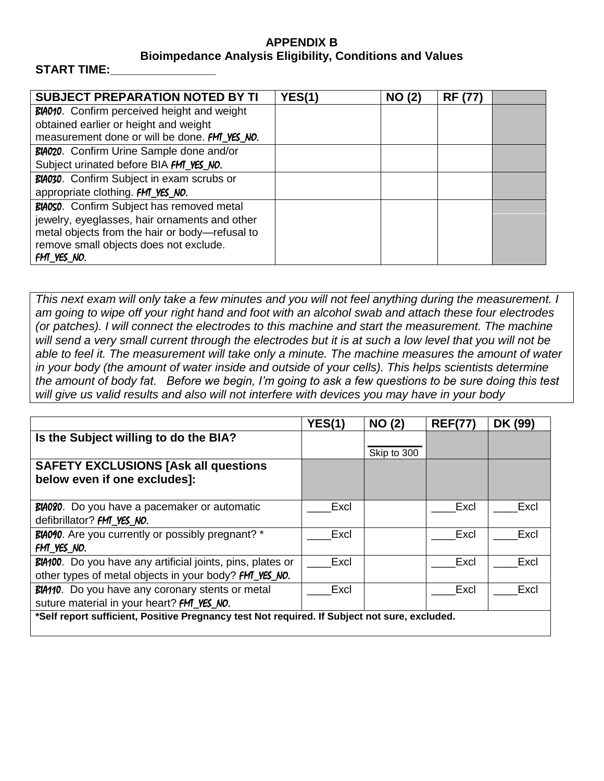## **APPENDIX B Bioimpedance Analysis Eligibility, Conditions and Values**

## START TIME:

| <b>SUBJECT PREPARATION NOTED BY TI</b>             | YES(1) | <b>NO (2)</b> | <b>RF (77)</b> |  |
|----------------------------------------------------|--------|---------------|----------------|--|
| <b>BIA010.</b> Confirm perceived height and weight |        |               |                |  |
| obtained earlier or height and weight              |        |               |                |  |
| measurement done or will be done. FM_YES_NO.       |        |               |                |  |
| BIA020. Confirm Urine Sample done and/or           |        |               |                |  |
| Subject urinated before BIA FMT_YES_NO.            |        |               |                |  |
| BIA030. Confirm Subject in exam scrubs or          |        |               |                |  |
| appropriate clothing. FM_YES_NO.                   |        |               |                |  |
| BIA050. Confirm Subject has removed metal          |        |               |                |  |
| jewelry, eyeglasses, hair ornaments and other      |        |               |                |  |
| metal objects from the hair or body-refusal to     |        |               |                |  |
| remove small objects does not exclude.             |        |               |                |  |
| FM YES NO.                                         |        |               |                |  |

*This next exam will only take a few minutes and you will not feel anything during the measurement. I am going to wipe off your right hand and foot with an alcohol swab and attach these four electrodes (or patches). I will connect the electrodes to this machine and start the measurement. The machine will send a very small current through the electrodes but it is at such a low level that you will not be able to feel it. The measurement will take only a minute. The machine measures the amount of water in your body (the amount of water inside and outside of your cells). This helps scientists determine the amount of body fat. Before we begin, I'm going to ask a few questions to be sure doing this test will give us valid results and also will not interfere with devices you may have in your body*

|                                                                                               | <b>YES(1)</b> | <b>NO (2)</b> | <b>REF(77</b> | DK (99) |  |  |
|-----------------------------------------------------------------------------------------------|---------------|---------------|---------------|---------|--|--|
| Is the Subject willing to do the BIA?                                                         |               |               |               |         |  |  |
|                                                                                               |               | Skip to 300   |               |         |  |  |
| <b>SAFETY EXCLUSIONS [Ask all questions</b><br>below even if one excludes]:                   |               |               |               |         |  |  |
|                                                                                               |               |               |               |         |  |  |
| BIA080. Do you have a pacemaker or automatic                                                  | Excl          |               | Excl          | Excl    |  |  |
| defibrillator? FMT YES NO.                                                                    |               |               |               |         |  |  |
| <b>BIA090.</b> Are you currently or possibly pregnant? *                                      | Excl          |               | Excl          | Excl    |  |  |
| FMT YES NO.                                                                                   |               |               |               |         |  |  |
| BIA100. Do you have any artificial joints, pins, plates or                                    | Excl          |               | Excl          | Excl    |  |  |
| other types of metal objects in your body? <b>FM_YES_NO.</b>                                  |               |               |               |         |  |  |
| BIA110. Do you have any coronary stents or metal                                              | Excl          |               | Excl          | Excl    |  |  |
| suture material in your heart? <b>FMT_YES_NO.</b>                                             |               |               |               |         |  |  |
| *Self report sufficient, Positive Pregnancy test Not required. If Subject not sure, excluded. |               |               |               |         |  |  |